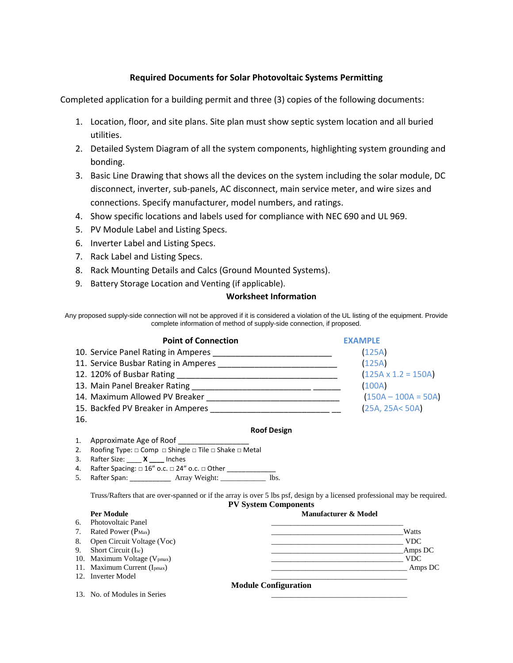# **Required Documents for Solar Photovoltaic Systems Permitting**

Completed application for a building permit and three (3) copies of the following documents:

- 1. Location, floor, and site plans. Site plan must show septic system location and all buried utilities.
- 2. Detailed System Diagram of all the system components, highlighting system grounding and bonding.
- 3. Basic Line Drawing that shows all the devices on the system including the solar module, DC disconnect, inverter, sub-panels, AC disconnect, main service meter, and wire sizes and connections. Specify manufacturer, model numbers, and ratings.
- 4. Show specific locations and labels used for compliance with NEC 690 and UL 969.
- 5. PV Module Label and Listing Specs.
- 6. Inverter Label and Listing Specs.
- 7. Rack Label and Listing Specs.
- 8. Rack Mounting Details and Calcs (Ground Mounted Systems).
- 9. Battery Storage Location and Venting (if applicable).

## **Worksheet Information**

Any proposed supply-side connection will not be approved if it is considered a violation of the UL listing of the equipment. Provide complete information of method of supply-side connection, if proposed.

| <b>Point of Connection</b>           | <b>EXAMPLE</b>             |
|--------------------------------------|----------------------------|
| 10. Service Panel Rating in Amperes  | (125A)                     |
| 11. Service Busbar Rating in Amperes | (125A)                     |
|                                      | $(125A \times 1.2 = 150A)$ |
| 13. Main Panel Breaker Rating        | (100A)                     |
| 14. Maximum Allowed PV Breaker       | $(150A - 100A = 50A)$      |
| 15. Backfed PV Breaker in Amperes    | (25A, 25A< 50A)            |
| 16.                                  |                            |

### **Roof Design**

- 1. Approximate Age of Roof
- 2. Roofing Type: □ Comp □ Shingle □ Tile □ Shake □ Metal
- 3. Rafter Size: \_\_\_\_ **X \_\_\_\_** Inches
- 4. Rafter Spacing: □ 16" o.c. □ 24" o.c. □ Other \_\_\_\_\_\_\_\_\_\_\_\_\_\_\_\_\_\_\_\_\_\_\_\_\_\_\_\_\_\_\_
- 5. Rafter Span: \_\_\_\_\_\_\_\_\_\_\_ Array Weight: \_\_\_\_\_\_\_\_\_\_\_\_ lbs.

Truss/Rafters that are over-spanned or if the array is over 5 lbs psf, design by a licensed professional may be required. **PV System Components**

# **Per Module Manufacturer & Model**



13. No. of Modules in Series

```
Module Configuration
```